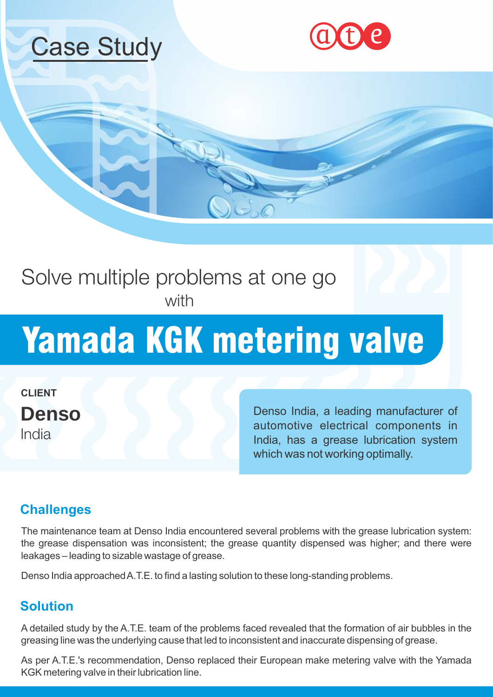





## Solve multiple problems at one go with

# Yamada KGK metering valve

**CLIENT Denso** India

Denso India, a leading manufacturer of automotive electrical components in India, has a grease lubrication system which was not working optimally.

### **Challenges**

The maintenance team at Denso India encountered several problems with the grease lubrication system: the grease dispensation was inconsistent; the grease quantity dispensed was higher; and there were leakages – leading to sizable wastage of grease.

Denso India approached A.T.E. to find a lasting solution to these long-standing problems.

### **Solution**

A detailed study by the A.T.E. team of the problems faced revealed that the formation of air bubbles in the greasing line was the underlying cause that led to inconsistent and inaccurate dispensing of grease.

As per A.T.E.'s recommendation, Denso replaced their European make metering valve with the Yamada KGK metering valve in their lubrication line.